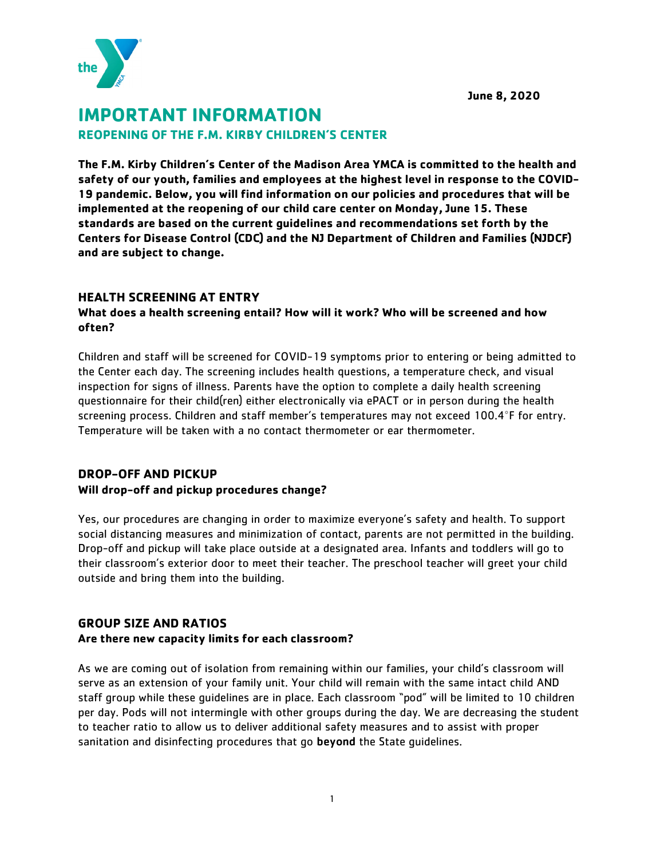**June 8, 2020**



# **IMPORTANT INFORMATION REOPENING OF THE F.M. KIRBY CHILDREN'S CENTER**

**The F.M. Kirby Children's Center of the Madison Area YMCA is committed to the health and safety of our youth, families and employees at the highest level in response to the COVID-19 pandemic. Below, you will find information on our policies and procedures that will be implemented at the reopening of our child care center on Monday, June 15. These standards are based on the current guidelines and recommendations set forth by the Centers for Disease Control (CDC) and the NJ Department of Children and Families (NJDCF) and are subject to change.** 

#### **HEALTH SCREENING AT ENTRY**

## **What does a health screening entail? How will it work? Who will be screened and how often?**

Children and staff will be screened for COVID-19 symptoms prior to entering or being admitted to the Center each day. The screening includes health questions, a temperature check, and visual inspection for signs of illness. Parents have the option to complete a daily health screening questionnaire for their child(ren) either electronically via ePACT or in person during the health screening process. Children and staff member's temperatures may not exceed 100.4°F for entry. Temperature will be taken with a no contact thermometer or ear thermometer.

## **DROP-OFF AND PICKUP**

## **Will drop-off and pickup procedures change?**

Yes, our procedures are changing in order to maximize everyone's safety and health. To support social distancing measures and minimization of contact, parents are not permitted in the building. Drop-off and pickup will take place outside at a designated area. Infants and toddlers will go to their classroom's exterior door to meet their teacher. The preschool teacher will greet your child outside and bring them into the building.

## **GROUP SIZE AND RATIOS**

## **Are there new capacity limits for each classroom?**

As we are coming out of isolation from remaining within our families, your child's classroom will serve as an extension of your family unit. Your child will remain with the same intact child AND staff group while these guidelines are in place. Each classroom "pod" will be limited to 10 children per day. Pods will not intermingle with other groups during the day. We are decreasing the student to teacher ratio to allow us to deliver additional safety measures and to assist with proper sanitation and disinfecting procedures that go beyond the State quidelines.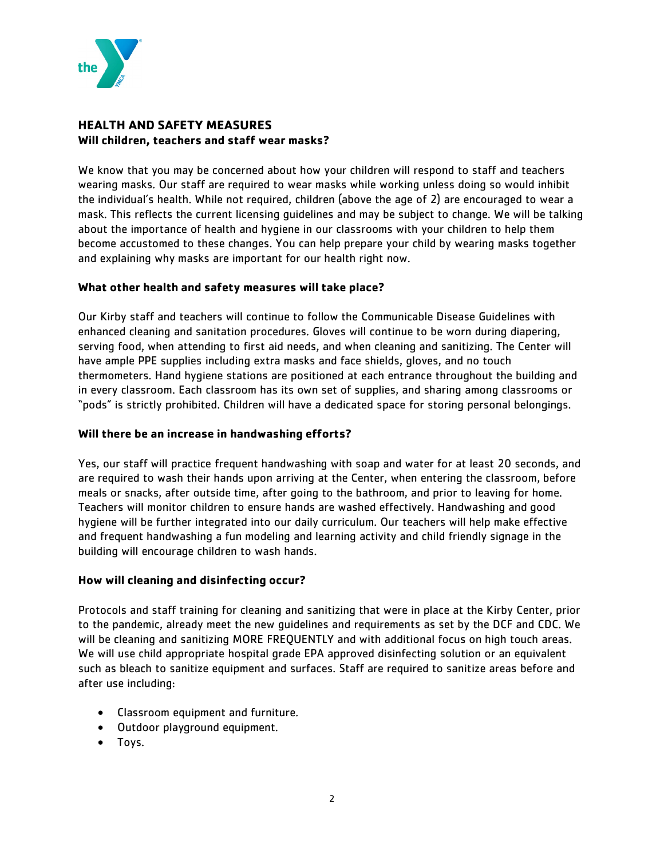

## **HEALTH AND SAFETY MEASURES Will children, teachers and staff wear masks?**

We know that you may be concerned about how your children will respond to staff and teachers wearing masks. Our staff are required to wear masks while working unless doing so would inhibit the individual's health. While not required, children (above the age of 2) are encouraged to wear a mask. This reflects the current licensing guidelines and may be subject to change. We will be talking about the importance of health and hygiene in our classrooms with your children to help them become accustomed to these changes. You can help prepare your child by wearing masks together and explaining why masks are important for our health right now.

#### **What other health and safety measures will take place?**

Our Kirby staff and teachers will continue to follow the Communicable Disease Guidelines with enhanced cleaning and sanitation procedures. Gloves will continue to be worn during diapering, serving food, when attending to first aid needs, and when cleaning and sanitizing. The Center will have ample PPE supplies including extra masks and face shields, gloves, and no touch thermometers. Hand hygiene stations are positioned at each entrance throughout the building and in every classroom. Each classroom has its own set of supplies, and sharing among classrooms or "pods" is strictly prohibited. Children will have a dedicated space for storing personal belongings.

#### **Will there be an increase in handwashing efforts?**

Yes, our staff will practice frequent handwashing with soap and water for at least 20 seconds, and are required to wash their hands upon arriving at the Center, when entering the classroom, before meals or snacks, after outside time, after going to the bathroom, and prior to leaving for home. Teachers will monitor children to ensure hands are washed effectively. Handwashing and good hygiene will be further integrated into our daily curriculum. Our teachers will help make effective and frequent handwashing a fun modeling and learning activity and child friendly signage in the building will encourage children to wash hands.

#### **How will cleaning and disinfecting occur?**

Protocols and staff training for cleaning and sanitizing that were in place at the Kirby Center, prior to the pandemic, already meet the new guidelines and requirements as set by the DCF and CDC. We will be cleaning and sanitizing MORE FREQUENTLY and with additional focus on high touch areas. We will use child appropriate hospital grade EPA approved disinfecting solution or an equivalent such as bleach to sanitize equipment and surfaces. Staff are required to sanitize areas before and after use including:

- Classroom equipment and furniture.
- Outdoor playground equipment.
- Toys.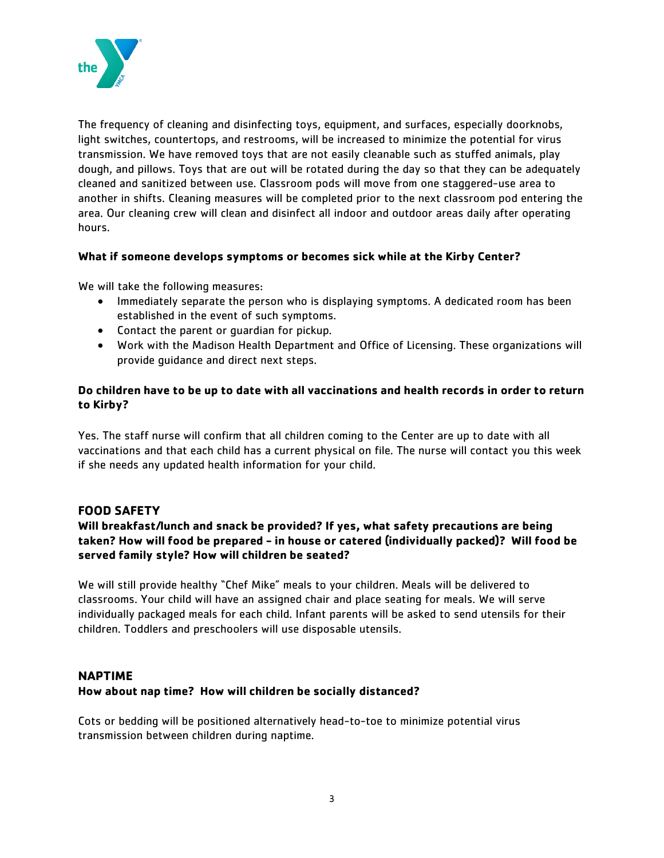

The frequency of cleaning and disinfecting toys, equipment, and surfaces, especially doorknobs, light switches, countertops, and restrooms, will be increased to minimize the potential for virus transmission. We have removed toys that are not easily cleanable such as stuffed animals, play dough, and pillows. Toys that are out will be rotated during the day so that they can be adequately cleaned and sanitized between use. Classroom pods will move from one staggered-use area to another in shifts. Cleaning measures will be completed prior to the next classroom pod entering the area. Our cleaning crew will clean and disinfect all indoor and outdoor areas daily after operating hours.

#### **What if someone develops symptoms or becomes sick while at the Kirby Center?**

We will take the following measures:

- Immediately separate the person who is displaying symptoms. A dedicated room has been established in the event of such symptoms.
- Contact the parent or guardian for pickup.
- Work with the Madison Health Department and Office of Licensing. These organizations will provide guidance and direct next steps.

## **Do children have to be up to date with all vaccinations and health records in order to return to Kirby?**

Yes. The staff nurse will confirm that all children coming to the Center are up to date with all vaccinations and that each child has a current physical on file. The nurse will contact you this week if she needs any updated health information for your child.

#### **FOOD SAFETY**

## **Will breakfast/lunch and snack be provided? If yes, what safety precautions are being taken? How will food be prepared - in house or catered (individually packed)? Will food be served family style? How will children be seated?**

We will still provide healthy "Chef Mike" meals to your children. Meals will be delivered to classrooms. Your child will have an assigned chair and place seating for meals. We will serve individually packaged meals for each child. Infant parents will be asked to send utensils for their children. Toddlers and preschoolers will use disposable utensils.

#### **NAPTIME**

#### **How about nap time? How will children be socially distanced?**

Cots or bedding will be positioned alternatively head-to-toe to minimize potential virus transmission between children during naptime.